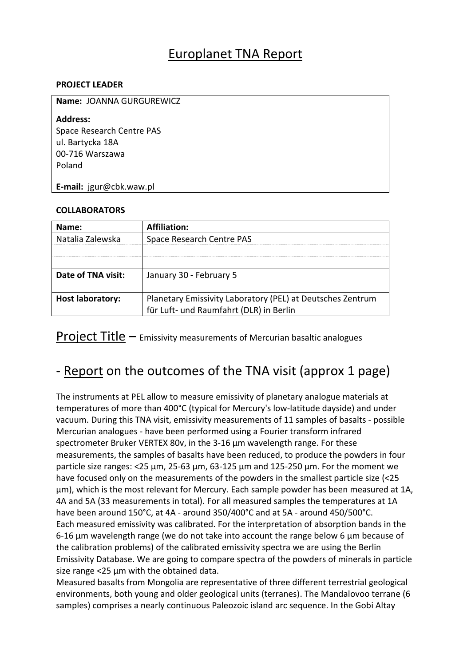### Europlanet TNA Report

#### **PROJECT LEADER**

| Name: JOANNA GURGUREWICZ  |  |
|---------------------------|--|
| <b>Address:</b>           |  |
| Space Research Centre PAS |  |
| ul. Bartycka 18A          |  |
| 00-716 Warszawa           |  |
| Poland                    |  |
|                           |  |
| E-mail: jgur@cbk.waw.pl   |  |

#### **COLLABORATORS**

| Name:                   | Affiliation:                                               |
|-------------------------|------------------------------------------------------------|
| Natalia Zalewska        | Space Research Centre PAS                                  |
|                         |                                                            |
|                         |                                                            |
| Date of TNA visit:      | January 30 - February 5                                    |
|                         |                                                            |
| <b>Host laboratory:</b> | Planetary Emissivity Laboratory (PEL) at Deutsches Zentrum |
|                         | für Luft- und Raumfahrt (DLR) in Berlin                    |

Project Title – Emissivity measurements of Mercurian basaltic analogues

## - Report on the outcomes of the TNA visit (approx 1 page)

The instruments at PEL allow to measure emissivity of planetary analogue materials at temperatures of more than 400°C (typical for Mercury's low-latitude dayside) and under vacuum. During this TNA visit, emissivity measurements of 11 samples of basalts - possible Mercurian analogues - have been performed using a Fourier transform infrared spectrometer Bruker VERTEX 80v, in the 3-16 µm wavelength range. For these measurements, the samples of basalts have been reduced, to produce the powders in four particle size ranges: <25 μm, 25-63 μm, 63-125 μm and 125-250 μm. For the moment we have focused only on the measurements of the powders in the smallest particle size (<25 μm), which is the most relevant for Mercury. Each sample powder has been measured at 1A, 4A and 5A (33 measurements in total). For all measured samples the temperatures at 1A have been around 150°C, at 4A - around 350/400°C and at 5A - around 450/500°C. Each measured emissivity was calibrated. For the interpretation of absorption bands in the 6-16 µm wavelength range (we do not take into account the range below 6 µm because of the calibration problems) of the calibrated emissivity spectra we are using the Berlin Emissivity Database. We are going to compare spectra of the powders of minerals in particle size range <25 μm with the obtained data.

Measured basalts from Mongolia are representative of three different terrestrial geological environments, both young and older geological units (terranes). The Mandalovoo terrane (6 samples) comprises a nearly continuous Paleozoic island arc sequence. In the Gobi Altay